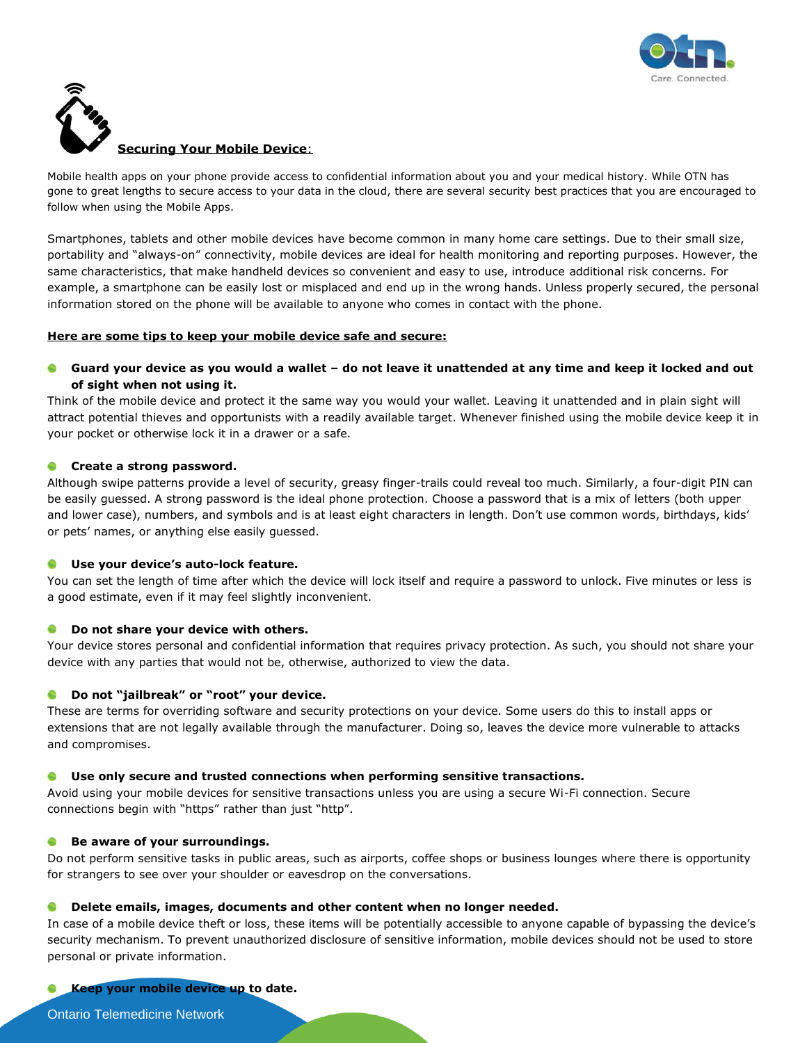



## **Securing Your Mobile Device**:

Mobile health apps on your phone provide access to confidential information about you and your medical history. While OTN has gone to great lengths to secure access to your data in the cloud, there are several security best practices that you are encouraged to follow when using the Mobile Apps.

Smartphones, tablets and other mobile devices have become common in many home care settings. Due to their small size, portability and "always-on" connectivity, mobile devices are ideal for health monitoring and reporting purposes. However, the same characteristics, that make handheld devices so convenient and easy to use, introduce additional risk concerns. For example, a smartphone can be easily lost or misplaced and end up in the wrong hands. Unless properly secured, the personal information stored on the phone will be available to anyone who comes in contact with the phone.

#### **Here are some tips to keep your mobile device safe and secure:**

# **Guard your device as you would a wallet – do not leave it unattended at any time and keep it locked and out of sight when not using it.**

Think of the mobile device and protect it the same way you would your wallet. Leaving it unattended and in plain sight will attract potential thieves and opportunists with a readily available target. Whenever finished using the mobile device keep it in your pocket or otherwise lock it in a drawer or a safe.

## **Create a strong password.**

Although swipe patterns provide a level of security, greasy finger-trails could reveal too much. Similarly, a four-digit PIN can be easily guessed. A strong password is the ideal phone protection. Choose a password that is a mix of letters (both upper and lower case), numbers, and symbols and is at least eight characters in length. Don't use common words, birthdays, kids' or pets' names, or anything else easily guessed.

## **Use your device's auto-lock feature.**

You can set the length of time after which the device will lock itself and require a password to unlock. Five minutes or less is a good estimate, even if it may feel slightly inconvenient.

## **Do not share your device with others.**

Your device stores personal and confidential information that requires privacy protection. As such, you should not share your device with any parties that would not be, otherwise, authorized to view the data.

# **Do not "jailbreak" or "root" your device.**

These are terms for overriding software and security protections on your device. Some users do this to install apps or extensions that are not legally available through the manufacturer. Doing so, leaves the device more vulnerable to attacks and compromises.

## **Use only secure and trusted connections when performing sensitive transactions.**

Avoid using your mobile devices for sensitive transactions unless you are using a secure Wi-Fi connection. Secure connections begin with "https" rather than just "http".

## **Be aware of your surroundings.**

Do not perform sensitive tasks in public areas, such as airports, coffee shops or business lounges where there is opportunity for strangers to see over your shoulder or eavesdrop on the conversations.

## **Delete emails, images, documents and other content when no longer needed.**

In case of a mobile device theft or loss, these items will be potentially accessible to anyone capable of bypassing the device's security mechanism. To prevent unauthorized disclosure of sensitive information, mobile devices should not be used to store personal or private information.

**Keep your mobile device up to date.**

Ontario Telemedicine Network